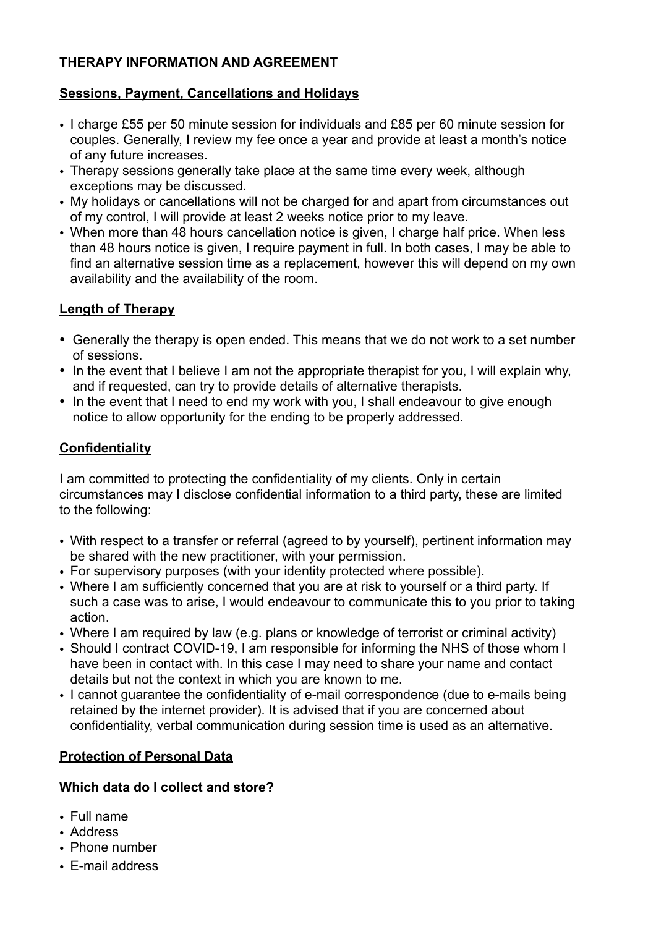## **THERAPY INFORMATION AND AGREEMENT**

### **Sessions, Payment, Cancellations and Holidays**

- I charge £55 per 50 minute session for individuals and £85 per 60 minute session for couples. Generally, I review my fee once a year and provide at least a month's notice of any future increases.
- Therapy sessions generally take place at the same time every week, although exceptions may be discussed.
- My holidays or cancellations will not be charged for and apart from circumstances out of my control, I will provide at least 2 weeks notice prior to my leave.
- When more than 48 hours cancellation notice is given, I charge half price. When less than 48 hours notice is given, I require payment in full. In both cases, I may be able to find an alternative session time as a replacement, however this will depend on my own availability and the availability of the room.

#### **Length of Therapy**

- Generally the therapy is open ended. This means that we do not work to a set number of sessions.
- In the event that I believe I am not the appropriate therapist for you, I will explain why, and if requested, can try to provide details of alternative therapists.
- In the event that I need to end my work with you, I shall endeavour to give enough notice to allow opportunity for the ending to be properly addressed.

# **Confidentiality**

I am committed to protecting the confidentiality of my clients. Only in certain circumstances may I disclose confidential information to a third party, these are limited to the following:

- With respect to a transfer or referral (agreed to by yourself), pertinent information may be shared with the new practitioner, with your permission.
- For supervisory purposes (with your identity protected where possible).
- Where I am sufficiently concerned that you are at risk to yourself or a third party. If such a case was to arise, I would endeavour to communicate this to you prior to taking action.
- Where I am required by law (e.g. plans or knowledge of terrorist or criminal activity)
- Should I contract COVID-19, I am responsible for informing the NHS of those whom I have been in contact with. In this case I may need to share your name and contact details but not the context in which you are known to me.
- I cannot guarantee the confidentiality of e-mail correspondence (due to e-mails being retained by the internet provider). It is advised that if you are concerned about confidentiality, verbal communication during session time is used as an alternative.

# **Protection of Personal Data**

#### **Which data do I collect and store?**

- Full name
- Address
- Phone number
- E-mail address